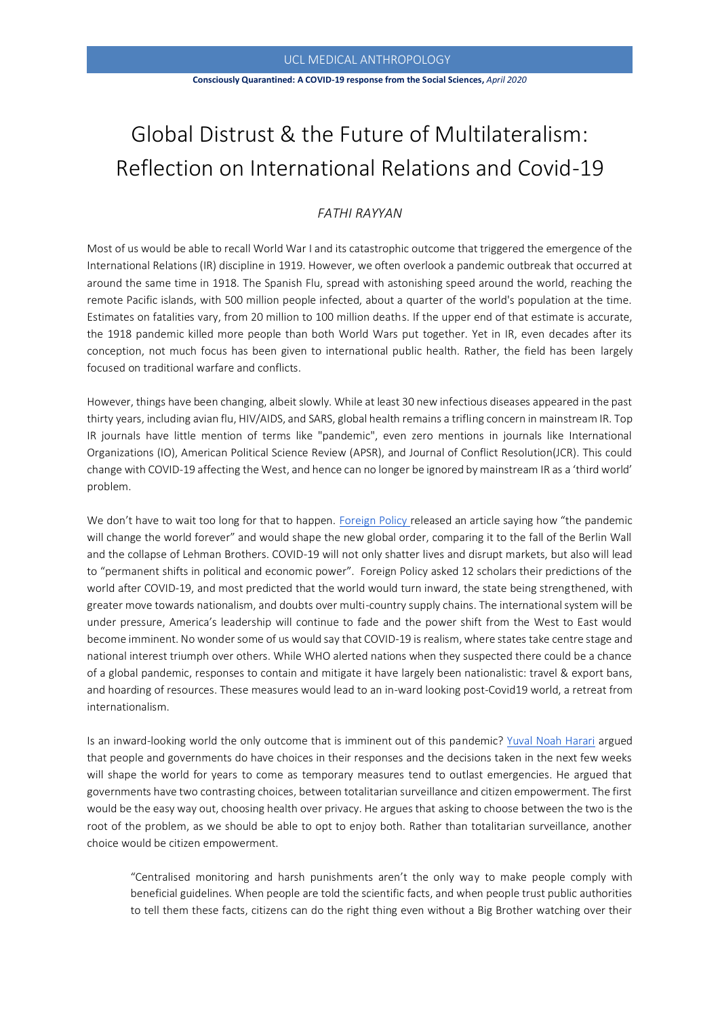## UCL MEDICAL ANTHROPOLOGY

#### **Consciously Quarantined: A COVID-19 response from the Social Sciences,** *April 2020*

# Global Distrust & the Future of Multilateralism: Reflection on International Relations and Covid-19

# *FATHI RAYYAN*

Most of us would be able to recall World War I and its catastrophic outcome that triggered the emergence of the International Relations (IR) discipline in 1919. However, we often overlook a pandemic outbreak that occurred at around the same time in 1918. The Spanish Flu, spread with astonishing speed around the world, reaching the remote Pacific islands, with 500 million people infected, about a quarter of the world's population at the time. Estimates on fatalities vary, from 20 million to 100 million deaths. If the upper end of that estimate is accurate, the 1918 pandemic killed more people than both World Wars put together. Yet in IR, even decades after its conception, not much focus has been given to international public health. Rather, the field has been largely focused on traditional warfare and conflicts.

However, things have been changing, albeit slowly. While at least 30 new infectious diseases appeared in the past thirty years, including avian flu, HIV/AIDS, and SARS, global health remains a trifling concern in mainstream IR. Top IR journals have little mention of terms like "pandemic", even zero mentions in journals like International Organizations (IO), American Political Science Review (APSR), and Journal of Conflict Resolution(JCR). This could change with COVID-19 affecting the West, and hence can no longer be ignored by mainstream IR as a 'third world' problem.

We don't have to wait too long for that to happen. [Foreign Policy](https://foreignpolicy.com/2020/03/20/world-order-after-coroanvirus-pandemic/) released an article saying how "the pandemic will change the world forever" and would shape the new global order, comparing it to the fall of the Berlin Wall and the collapse of Lehman Brothers. COVID-19 will not only shatter lives and disrupt markets, but also will lead to "permanent shifts in political and economic power". Foreign Policy asked 12 scholars their predictions of the world after COVID-19, and most predicted that the world would turn inward, the state being strengthened, with greater move towards nationalism, and doubts over multi-country supply chains. The international system will be under pressure, America's leadership will continue to fade and the power shift from the West to East would become imminent. No wonder some of us would say that COVID-19 is realism, where states take centre stage and national interest triumph over others. While WHO alerted nations when they suspected there could be a chance of a global pandemic, responses to contain and mitigate it have largely been nationalistic: travel & export bans, and hoarding of resources. These measures would lead to an in-ward looking post-Covid19 world, a retreat from internationalism.

Is an inward-looking world the only outcome that is imminent out of this pandemic? [Yuval Noah Harari](https://www.ft.com/content/19d90308-6858-11ea-a3c9-1fe6fedcca75) argued that people and governments do have choices in their responses and the decisions taken in the next few weeks will shape the world for years to come as temporary measures tend to outlast emergencies. He argued that governments have two contrasting choices, between totalitarian surveillance and citizen empowerment. The first would be the easy way out, choosing health over privacy. He argues that asking to choose between the two is the root of the problem, as we should be able to opt to enjoy both. Rather than totalitarian surveillance, another choice would be citizen empowerment.

"Centralised monitoring and harsh punishments aren't the only way to make people comply with beneficial guidelines. When people are told the scientific facts, and when people trust public authorities to tell them these facts, citizens can do the right thing even without a Big Brother watching over their